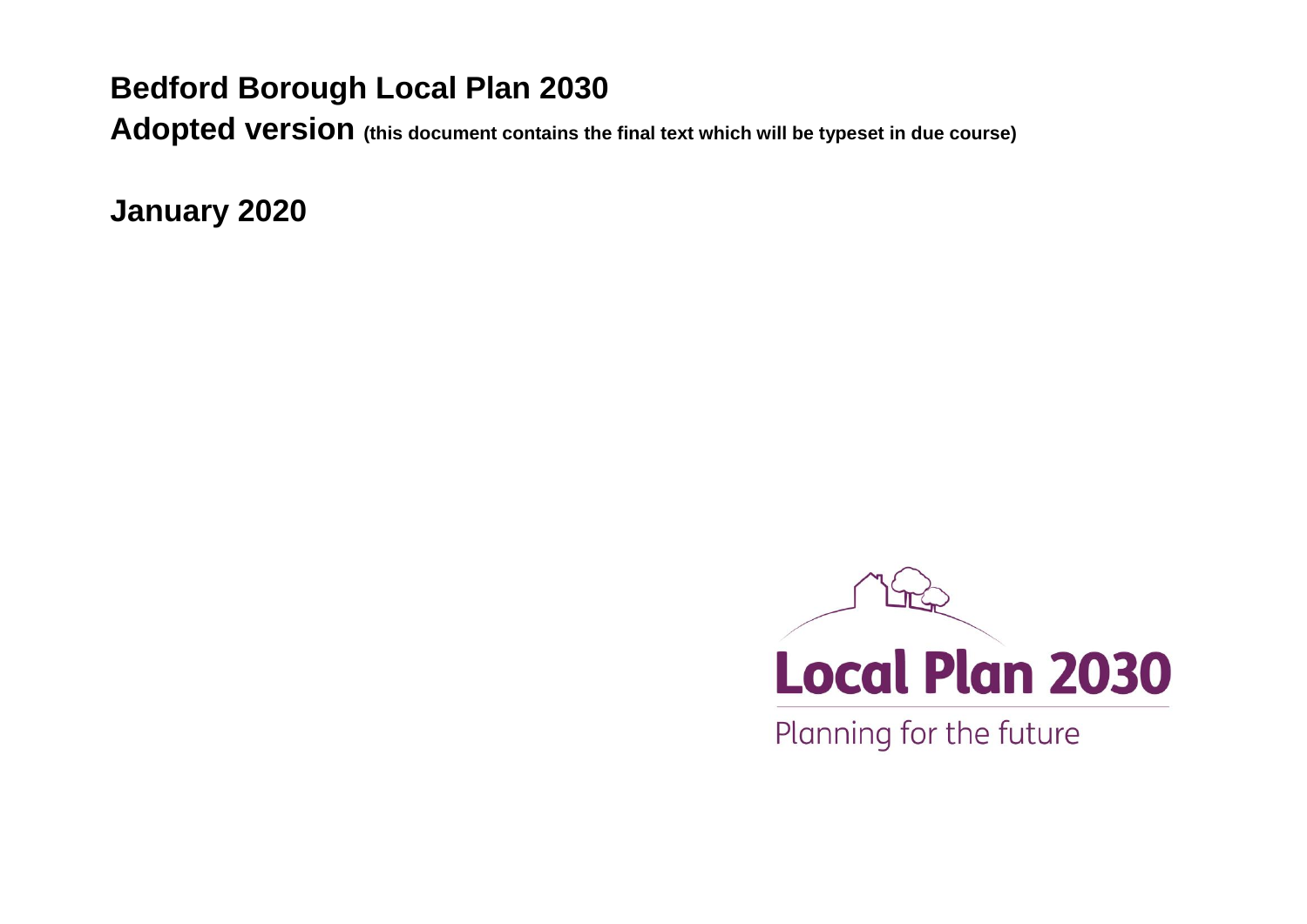# **Bedford Borough Local Plan 2030**

**Adopted version (this document contains the final text which will be typeset in due course)**

**January 2020**



Planning for the future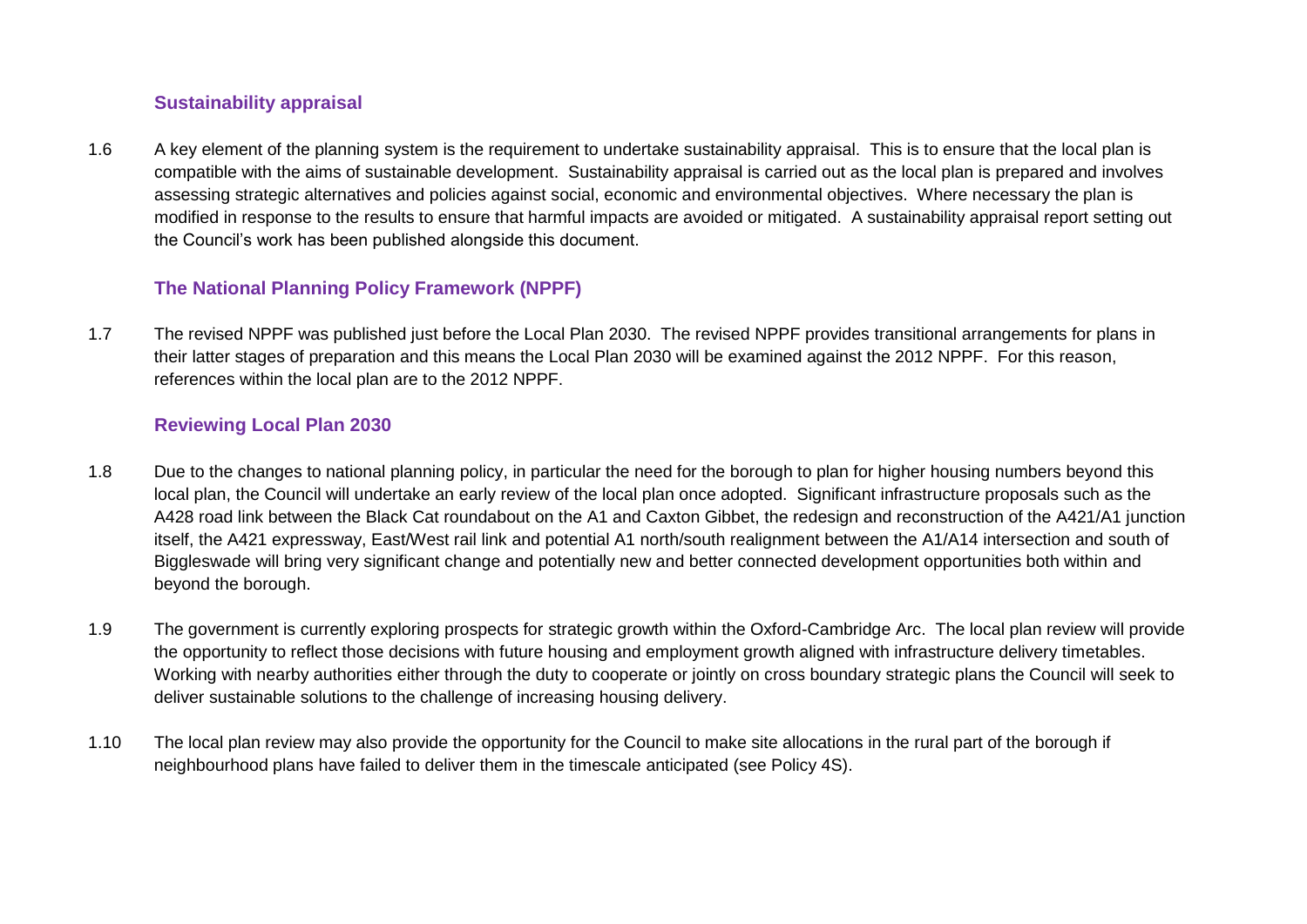# **Sustainability appraisal**

1.6 A key element of the planning system is the requirement to undertake sustainability appraisal. This is to ensure that the local plan is compatible with the aims of sustainable development. Sustainability appraisal is carried out as the local plan is prepared and involves assessing strategic alternatives and policies against social, economic and environmental objectives. Where necessary the plan is modified in response to the results to ensure that harmful impacts are avoided or mitigated. A sustainability appraisal report setting out the Council's work has been published alongside this document.

# **The National Planning Policy Framework (NPPF)**

1.7 The revised NPPF was published just before the Local Plan 2030. The revised NPPF provides transitional arrangements for plans in their latter stages of preparation and this means the Local Plan 2030 will be examined against the 2012 NPPF. For this reason, references within the local plan are to the 2012 NPPF.

## **Reviewing Local Plan 2030**

- 1.8 Due to the changes to national planning policy, in particular the need for the borough to plan for higher housing numbers beyond this local plan, the Council will undertake an early review of the local plan once adopted. Significant infrastructure proposals such as the A428 road link between the Black Cat roundabout on the A1 and Caxton Gibbet, the redesign and reconstruction of the A421/A1 junction itself, the A421 expressway, East/West rail link and potential A1 north/south realignment between the A1/A14 intersection and south of Biggleswade will bring very significant change and potentially new and better connected development opportunities both within and beyond the borough.
- 1.9 The government is currently exploring prospects for strategic growth within the Oxford-Cambridge Arc. The local plan review will provide the opportunity to reflect those decisions with future housing and employment growth aligned with infrastructure delivery timetables. Working with nearby authorities either through the duty to cooperate or jointly on cross boundary strategic plans the Council will seek to deliver sustainable solutions to the challenge of increasing housing delivery.
- 1.10 The local plan review may also provide the opportunity for the Council to make site allocations in the rural part of the borough if neighbourhood plans have failed to deliver them in the timescale anticipated (see Policy 4S).